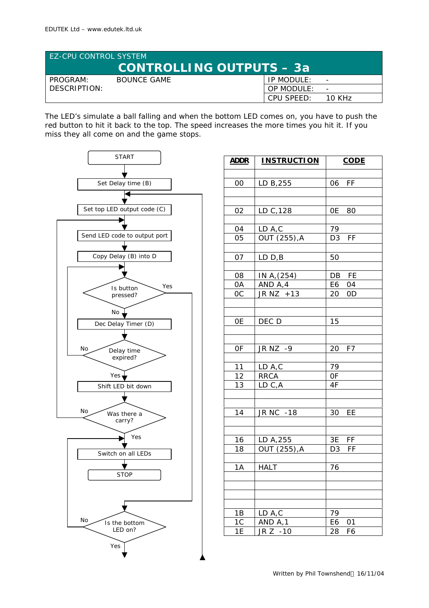| <b>EZ-CPU CONTROL SYSTEM</b><br><b>CONTROLLING OUTPUTS - 3a</b> |             |            |                          |  |
|-----------------------------------------------------------------|-------------|------------|--------------------------|--|
| PROGRAM:                                                        | BOUNCE GAME | IP MODULE: | $\overline{\phantom{0}}$ |  |
| DESCRIPTION:                                                    |             | OP MODULE: | $\overline{\phantom{0}}$ |  |
|                                                                 |             | CPU SPFFD: | 10 KH <sub>7</sub>       |  |

The LED's simulate a ball falling and when the bottom LED comes on, you have to push the red button to hit it back to the top. The speed increases the more times you hit it. If you miss they all come on and the game stops.



| <u>ADDR</u>           | <b>INSTRUCTION</b>         | <b>CODE</b>          |
|-----------------------|----------------------------|----------------------|
|                       |                            |                      |
| 00                    | LD B, 255                  | FF<br>06             |
|                       |                            |                      |
|                       |                            |                      |
| 02                    | LD C, 128                  | 0E<br>80             |
|                       |                            | $\overline{1}9$      |
| 04<br>$0\overline{5}$ | LD A, C<br>$OUT (255)$ , A | F<br>$\overline{D}3$ |
|                       |                            |                      |
| 07                    | LD <sub>B</sub>            | 50                   |
|                       |                            |                      |
| 08                    | IN A, $(254)$              | DB FE                |
| 0A                    | AND A,4                    | E6 04                |
| <b>OC</b>             | JR NZ +13                  | 20<br>0D             |
|                       |                            |                      |
| 0E                    | DEC D                      | 15                   |
|                       |                            |                      |
|                       |                            |                      |
| 0F                    | JR NZ -9                   | F7<br>20             |
|                       |                            |                      |
| 11                    | LD A,C                     | 79                   |
| 12                    | <b>RRCA</b>                | 0F                   |
| 13                    | LD C,A                     | 4F                   |
|                       |                            |                      |
| 14                    | JR NC -18                  | 30 EE                |
|                       |                            |                      |
|                       |                            |                      |
| 16                    | LD A, 255                  | 3E FF                |
| 18                    | OUT (255), A               | D <sub>3</sub><br>FF |
|                       |                            |                      |
| 1A                    | <b>HALT</b>                | 76                   |
|                       |                            |                      |
|                       |                            |                      |
|                       |                            |                      |
| 1B                    | LD A,C                     | 79                   |
| 1 <sup>C</sup>        | AND A, 1                   | E6<br>01             |
| 1E                    | $JR Z - 10$                | 28<br>F6             |